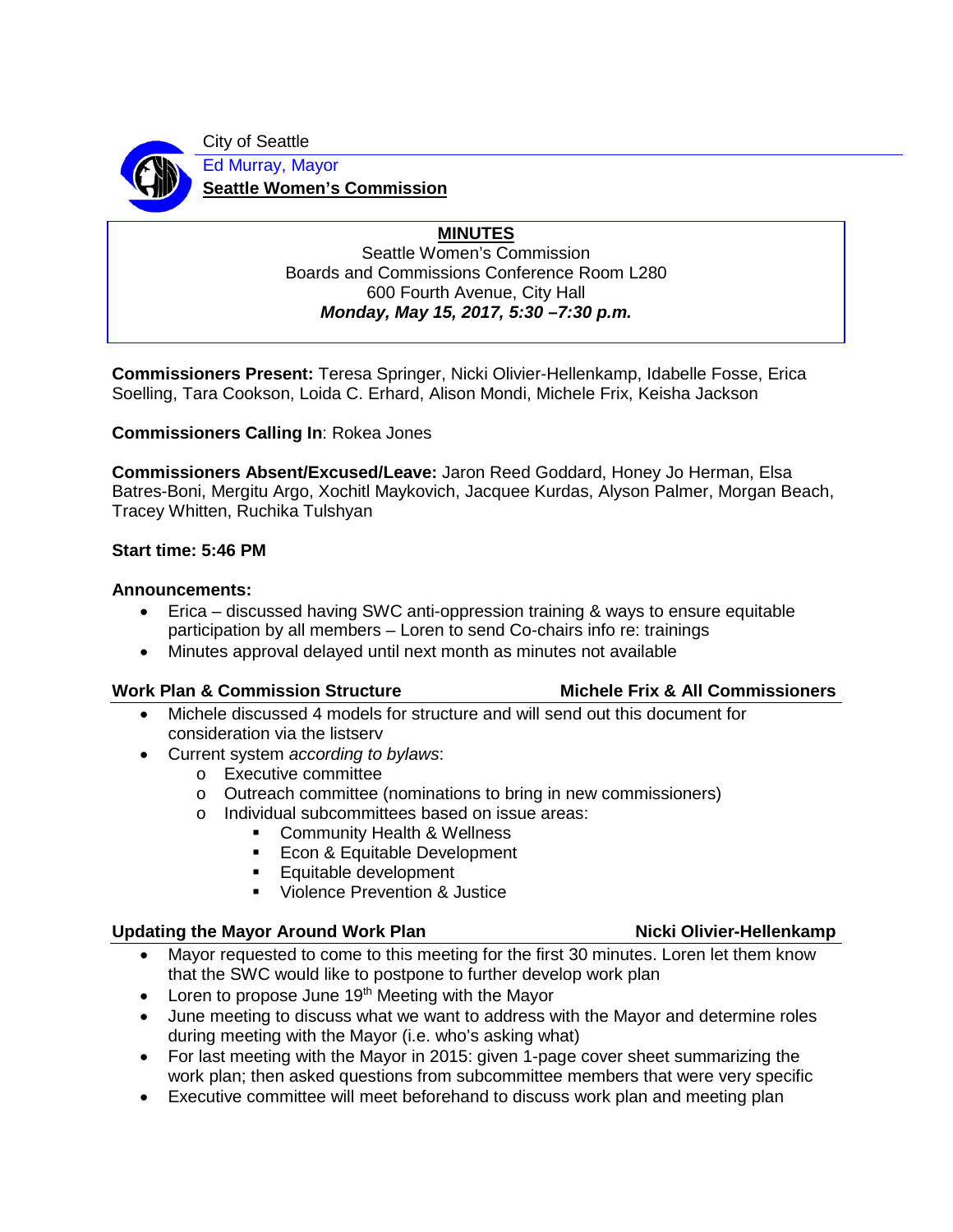

City of Seattle Ed Murray, Mayor **Seattle Women's Commission**

> **MINUTES** Seattle Women's Commission Boards and Commissions Conference Room L280 600 Fourth Avenue, City Hall *Monday, May 15, 2017, 5:30 –7:30 p.m.*

**Commissioners Present:** Teresa Springer, Nicki Olivier-Hellenkamp, Idabelle Fosse, Erica Soelling, Tara Cookson, Loida C. Erhard, Alison Mondi, Michele Frix, Keisha Jackson

**Commissioners Calling In**: Rokea Jones

**Commissioners Absent/Excused/Leave:** Jaron Reed Goddard, Honey Jo Herman, Elsa Batres-Boni, Mergitu Argo, Xochitl Maykovich, Jacquee Kurdas, Alyson Palmer, Morgan Beach, Tracey Whitten, Ruchika Tulshyan

# **Start time: 5:46 PM**

### **Announcements:**

- Erica discussed having SWC anti-oppression training & ways to ensure equitable participation by all members – Loren to send Co-chairs info re: trainings
- Minutes approval delayed until next month as minutes not available

# **Work Plan & Commission Structure Michele Frix & All Commissioners**

- Michele discussed 4 models for structure and will send out this document for consideration via the listserv
- Current system *according to bylaws*:
	- o Executive committee
	- o Outreach committee (nominations to bring in new commissioners)
	- o Individual subcommittees based on issue areas:
		- **Community Health & Wellness**
		- **Econ & Equitable Development**
		- Equitable development
		- Violence Prevention & Justice

# Updating the Mayor Around Work Plan Nicki Olivier-Hellenkamp

- Mayor requested to come to this meeting for the first 30 minutes. Loren let them know that the SWC would like to postpone to further develop work plan
- Loren to propose June  $19<sup>th</sup>$  Meeting with the Mayor
- June meeting to discuss what we want to address with the Mayor and determine roles during meeting with the Mayor (i.e. who's asking what)
- For last meeting with the Mayor in 2015: given 1-page cover sheet summarizing the work plan; then asked questions from subcommittee members that were very specific
- Executive committee will meet beforehand to discuss work plan and meeting plan